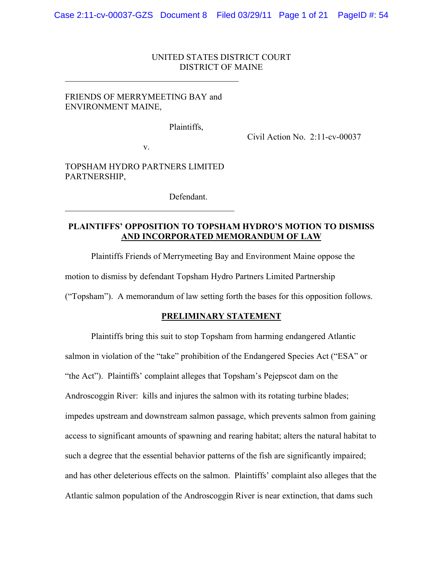#### UNITED STATES DISTRICT COURT DISTRICT OF MAINE

### FRIENDS OF MERRYMEETING BAY and ENVIRONMENT MAINE,

 $\mathcal{L}_\text{max}$  , and the contract of the contract of the contract of the contract of the contract of the contract of the contract of the contract of the contract of the contract of the contract of the contract of the contr

Plaintiffs,

Civil Action No. 2:11-cv-00037

v.

TOPSHAM HYDRO PARTNERS LIMITED PARTNERSHIP,

 $\mathcal{L}_\text{max}$  and  $\mathcal{L}_\text{max}$  and  $\mathcal{L}_\text{max}$  and  $\mathcal{L}_\text{max}$ 

Defendant.

### **PLAINTIFFS' OPPOSITION TO TOPSHAM HYDRO'S MOTION TO DISMISS AND INCORPORATED MEMORANDUM OF LAW**

Plaintiffs Friends of Merrymeeting Bay and Environment Maine oppose the

motion to dismiss by defendant Topsham Hydro Partners Limited Partnership

("Topsham"). A memorandum of law setting forth the bases for this opposition follows.

#### **PRELIMINARY STATEMENT**

Plaintiffs bring this suit to stop Topsham from harming endangered Atlantic salmon in violation of the "take" prohibition of the Endangered Species Act ("ESA" or "the Act"). Plaintiffs' complaint alleges that Topsham's Pejepscot dam on the Androscoggin River: kills and injures the salmon with its rotating turbine blades; impedes upstream and downstream salmon passage, which prevents salmon from gaining access to significant amounts of spawning and rearing habitat; alters the natural habitat to such a degree that the essential behavior patterns of the fish are significantly impaired; and has other deleterious effects on the salmon. Plaintiffs' complaint also alleges that the Atlantic salmon population of the Androscoggin River is near extinction, that dams such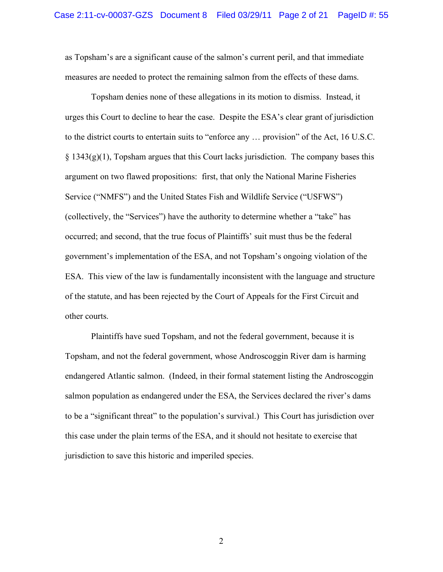as Topsham's are a significant cause of the salmon's current peril, and that immediate measures are needed to protect the remaining salmon from the effects of these dams.

Topsham denies none of these allegations in its motion to dismiss. Instead, it urges this Court to decline to hear the case. Despite the ESA's clear grant of jurisdiction to the district courts to entertain suits to "enforce any … provision" of the Act, 16 U.S.C.  $\S 1343(g)(1)$ , Topsham argues that this Court lacks jurisdiction. The company bases this argument on two flawed propositions: first, that only the National Marine Fisheries Service ("NMFS") and the United States Fish and Wildlife Service ("USFWS") (collectively, the "Services") have the authority to determine whether a "take" has occurred; and second, that the true focus of Plaintiffs' suit must thus be the federal government's implementation of the ESA, and not Topsham's ongoing violation of the ESA. This view of the law is fundamentally inconsistent with the language and structure of the statute, and has been rejected by the Court of Appeals for the First Circuit and other courts.

Plaintiffs have sued Topsham, and not the federal government, because it is Topsham, and not the federal government, whose Androscoggin River dam is harming endangered Atlantic salmon. (Indeed, in their formal statement listing the Androscoggin salmon population as endangered under the ESA, the Services declared the river's dams to be a "significant threat" to the population's survival.) This Court has jurisdiction over this case under the plain terms of the ESA, and it should not hesitate to exercise that jurisdiction to save this historic and imperiled species.

2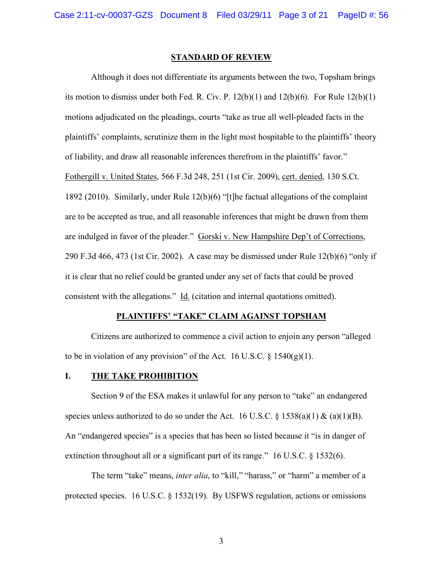#### **STANDARD OF REVIEW**

Although it does not differentiate its arguments between the two, Topsham brings its motion to dismiss under both Fed. R. Civ. P.  $12(b)(1)$  and  $12(b)(6)$ . For Rule  $12(b)(1)$ motions adjudicated on the pleadings, courts "take as true all well-pleaded facts in the plaintiffs' complaints, scrutinize them in the light most hospitable to the plaintiffs' theory of liability, and draw all reasonable inferences therefrom in the plaintiffs' favor." Fothergill v. United States, 566 F.3d 248, 251 (1st Cir. 2009), cert. denied, 130 S.Ct. 1892 (2010). Similarly, under Rule 12(b)(6) "[t]he factual allegations of the complaint are to be accepted as true, and all reasonable inferences that might be drawn from them are indulged in favor of the pleader." Gorski v. New Hampshire Dep't of Corrections, 290 F.3d 466, 473 (1st Cir. 2002). A case may be dismissed under Rule 12(b)(6) "only if it is clear that no relief could be granted under any set of facts that could be proved consistent with the allegations." Id. (citation and internal quotations omitted).

#### **PLAINTIFFS' "TAKE" CLAIM AGAINST TOPSHAM**

Citizens are authorized to commence a civil action to enjoin any person "alleged to be in violation of any provision" of the Act. 16 U.S.C.  $\S$  1540(g)(1).

#### **I. THE TAKE PROHIBITION**

Section 9 of the ESA makes it unlawful for any person to "take" an endangered species unless authorized to do so under the Act. 16 U.S.C. § 1538(a)(1) & (a)(1)(B). An "endangered species" is a species that has been so listed because it "is in danger of extinction throughout all or a significant part of its range." 16 U.S.C. § 1532(6).

The term "take" means, *inter alia*, to "kill," "harass," or "harm" a member of a protected species. 16 U.S.C. § 1532(19). By USFWS regulation, actions or omissions

3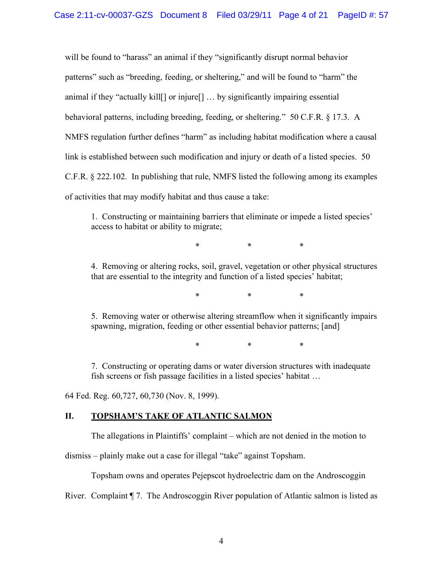will be found to "harass" an animal if they "significantly disrupt normal behavior patterns" such as "breeding, feeding, or sheltering," and will be found to "harm" the animal if they "actually kill[] or injure[] … by significantly impairing essential behavioral patterns, including breeding, feeding, or sheltering." 50 C.F.R. § 17.3. A NMFS regulation further defines "harm" as including habitat modification where a causal link is established between such modification and injury or death of a listed species. 50 C.F.R. § 222.102. In publishing that rule, NMFS listed the following among its examples of activities that may modify habitat and thus cause a take:

1. Constructing or maintaining barriers that eliminate or impede a listed species' access to habitat or ability to migrate;

\* \* \*

4. Removing or altering rocks, soil, gravel, vegetation or other physical structures that are essential to the integrity and function of a listed species' habitat;

\* \* \*

5. Removing water or otherwise altering streamflow when it significantly impairs spawning, migration, feeding or other essential behavior patterns; [and]

\* \* \*

7. Constructing or operating dams or water diversion structures with inadequate fish screens or fish passage facilities in a listed species' habitat …

64 Fed. Reg. 60,727, 60,730 (Nov. 8, 1999).

### **II. TOPSHAM'S TAKE OF ATLANTIC SALMON**

The allegations in Plaintiffs' complaint – which are not denied in the motion to

dismiss – plainly make out a case for illegal "take" against Topsham.

Topsham owns and operates Pejepscot hydroelectric dam on the Androscoggin

River. Complaint ¶ 7. The Androscoggin River population of Atlantic salmon is listed as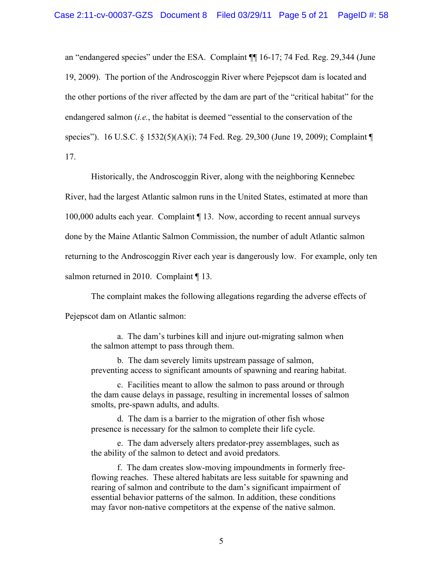an "endangered species" under the ESA. Complaint ¶¶ 16-17; 74 Fed. Reg. 29,344 (June 19, 2009). The portion of the Androscoggin River where Pejepscot dam is located and the other portions of the river affected by the dam are part of the "critical habitat" for the endangered salmon (*i.e.*, the habitat is deemed "essential to the conservation of the species"). 16 U.S.C. § 1532(5)(A)(i); 74 Fed. Reg. 29,300 (June 19, 2009); Complaint ¶ 17.

Historically, the Androscoggin River, along with the neighboring Kennebec River, had the largest Atlantic salmon runs in the United States, estimated at more than 100,000 adults each year. Complaint ¶ 13. Now, according to recent annual surveys done by the Maine Atlantic Salmon Commission, the number of adult Atlantic salmon returning to the Androscoggin River each year is dangerously low. For example, only ten salmon returned in 2010. Complaint [13.

The complaint makes the following allegations regarding the adverse effects of Pejepscot dam on Atlantic salmon:

a. The dam's turbines kill and injure out-migrating salmon when the salmon attempt to pass through them.

b. The dam severely limits upstream passage of salmon, preventing access to significant amounts of spawning and rearing habitat.

c. Facilities meant to allow the salmon to pass around or through the dam cause delays in passage, resulting in incremental losses of salmon smolts, pre-spawn adults, and adults.

d. The dam is a barrier to the migration of other fish whose presence is necessary for the salmon to complete their life cycle.

e. The dam adversely alters predator-prey assemblages, such as the ability of the salmon to detect and avoid predators.

f. The dam creates slow-moving impoundments in formerly freeflowing reaches. These altered habitats are less suitable for spawning and rearing of salmon and contribute to the dam's significant impairment of essential behavior patterns of the salmon. In addition, these conditions may favor non-native competitors at the expense of the native salmon.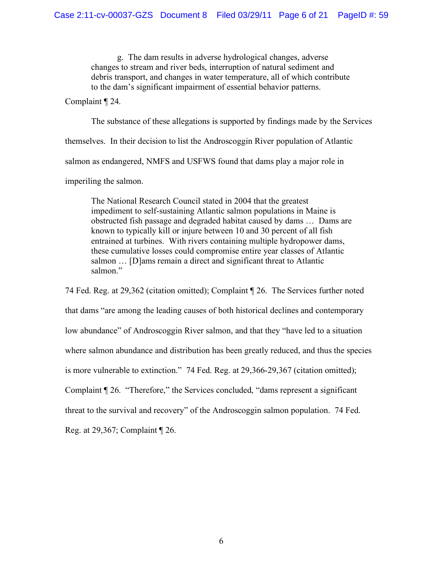g. The dam results in adverse hydrological changes, adverse changes to stream and river beds, interruption of natural sediment and debris transport, and changes in water temperature, all of which contribute to the dam's significant impairment of essential behavior patterns.

Complaint ¶ 24.

The substance of these allegations is supported by findings made by the Services themselves. In their decision to list the Androscoggin River population of Atlantic salmon as endangered, NMFS and USFWS found that dams play a major role in imperiling the salmon.

The National Research Council stated in 2004 that the greatest impediment to self-sustaining Atlantic salmon populations in Maine is obstructed fish passage and degraded habitat caused by dams … Dams are known to typically kill or injure between 10 and 30 percent of all fish entrained at turbines. With rivers containing multiple hydropower dams, these cumulative losses could compromise entire year classes of Atlantic salmon … [D]ams remain a direct and significant threat to Atlantic salmon."

74 Fed. Reg. at 29,362 (citation omitted); Complaint ¶ 26. The Services further noted that dams "are among the leading causes of both historical declines and contemporary low abundance" of Androscoggin River salmon, and that they "have led to a situation where salmon abundance and distribution has been greatly reduced, and thus the species is more vulnerable to extinction." 74 Fed. Reg. at 29,366-29,367 (citation omitted); Complaint ¶ 26. "Therefore," the Services concluded, "dams represent a significant threat to the survival and recovery" of the Androscoggin salmon population. 74 Fed. Reg. at 29,367; Complaint ¶ 26.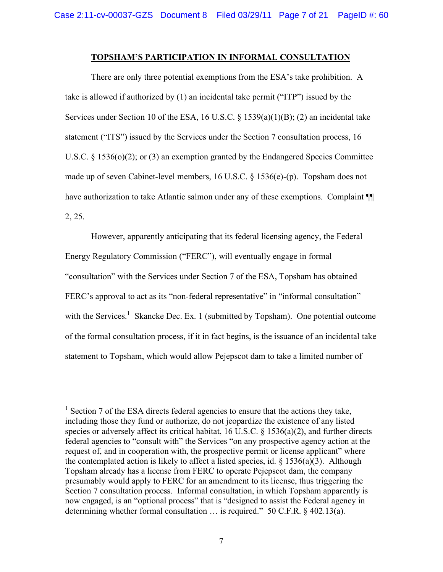#### **TOPSHAM'S PARTICIPATION IN INFORMAL CONSULTATION**

There are only three potential exemptions from the ESA's take prohibition. A take is allowed if authorized by (1) an incidental take permit ("ITP") issued by the Services under Section 10 of the ESA, 16 U.S.C. § 1539(a)(1)(B); (2) an incidental take statement ("ITS") issued by the Services under the Section 7 consultation process, 16 U.S.C. § 1536(o)(2); or (3) an exemption granted by the Endangered Species Committee made up of seven Cabinet-level members, 16 U.S.C. § 1536(e)-(p). Topsham does not have authorization to take Atlantic salmon under any of these exemptions. Complaint  $\P$ 2, 25.

However, apparently anticipating that its federal licensing agency, the Federal Energy Regulatory Commission ("FERC"), will eventually engage in formal "consultation" with the Services under Section 7 of the ESA, Topsham has obtained FERC's approval to act as its "non-federal representative" in "informal consultation" with the Services.<sup>1</sup> Skancke Dec. Ex. 1 (submitted by Topsham). One potential outcome of the formal consultation process, if it in fact begins, is the issuance of an incidental take statement to Topsham, which would allow Pejepscot dam to take a limited number of

<sup>&</sup>lt;sup>1</sup> Section 7 of the ESA directs federal agencies to ensure that the actions they take, including those they fund or authorize, do not jeopardize the existence of any listed species or adversely affect its critical habitat, 16 U.S.C. § 1536(a)(2), and further directs federal agencies to "consult with" the Services "on any prospective agency action at the request of, and in cooperation with, the prospective permit or license applicant" where the contemplated action is likely to affect a listed species,  $\underline{\text{id}}$ . § 1536(a)(3). Although Topsham already has a license from FERC to operate Pejepscot dam, the company presumably would apply to FERC for an amendment to its license, thus triggering the Section 7 consultation process. Informal consultation, in which Topsham apparently is now engaged, is an "optional process" that is "designed to assist the Federal agency in determining whether formal consultation … is required." 50 C.F.R. § 402.13(a).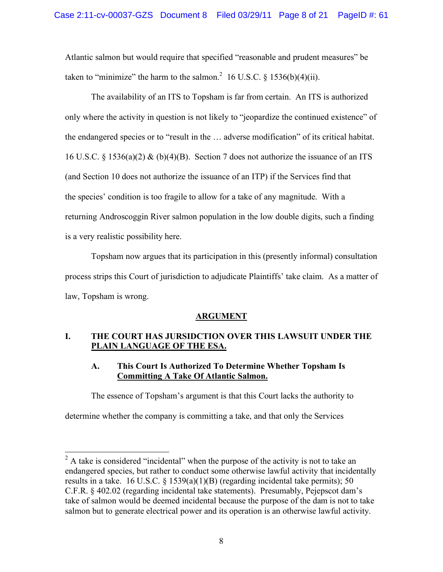Atlantic salmon but would require that specified "reasonable and prudent measures" be taken to "minimize" the harm to the salmon.<sup>2</sup> 16 U.S.C. § 1536(b)(4)(ii).

The availability of an ITS to Topsham is far from certain. An ITS is authorized only where the activity in question is not likely to "jeopardize the continued existence" of the endangered species or to "result in the … adverse modification" of its critical habitat. 16 U.S.C. § 1536(a)(2) & (b)(4)(B). Section 7 does not authorize the issuance of an ITS (and Section 10 does not authorize the issuance of an ITP) if the Services find that the species' condition is too fragile to allow for a take of any magnitude. With a returning Androscoggin River salmon population in the low double digits, such a finding is a very realistic possibility here.

Topsham now argues that its participation in this (presently informal) consultation process strips this Court of jurisdiction to adjudicate Plaintiffs' take claim. As a matter of law, Topsham is wrong.

# **ARGUMENT**

# **I. THE COURT HAS JURSIDCTION OVER THIS LAWSUIT UNDER THE PLAIN LANGUAGE OF THE ESA.**

# **A. This Court Is Authorized To Determine Whether Topsham Is Committing A Take Of Atlantic Salmon.**

The essence of Topsham's argument is that this Court lacks the authority to

determine whether the company is committing a take, and that only the Services

 $2^2$  A take is considered "incidental" when the purpose of the activity is not to take an endangered species, but rather to conduct some otherwise lawful activity that incidentally results in a take. 16 U.S.C.  $\S$  1539(a)(1)(B) (regarding incidental take permits); 50 C.F.R. § 402.02 (regarding incidental take statements). Presumably, Pejepscot dam's take of salmon would be deemed incidental because the purpose of the dam is not to take salmon but to generate electrical power and its operation is an otherwise lawful activity.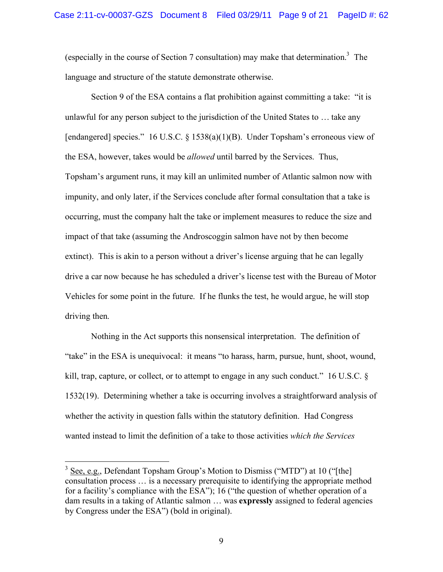(especially in the course of Section 7 consultation) may make that determination.<sup>3</sup> The language and structure of the statute demonstrate otherwise.

Section 9 of the ESA contains a flat prohibition against committing a take: "it is unlawful for any person subject to the jurisdiction of the United States to … take any [endangered] species." 16 U.S.C. § 1538(a)(1)(B). Under Topsham's erroneous view of the ESA, however, takes would be *allowed* until barred by the Services. Thus, Topsham's argument runs, it may kill an unlimited number of Atlantic salmon now with impunity, and only later, if the Services conclude after formal consultation that a take is occurring, must the company halt the take or implement measures to reduce the size and impact of that take (assuming the Androscoggin salmon have not by then become extinct). This is akin to a person without a driver's license arguing that he can legally drive a car now because he has scheduled a driver's license test with the Bureau of Motor Vehicles for some point in the future. If he flunks the test, he would argue, he will stop driving then.

Nothing in the Act supports this nonsensical interpretation. The definition of "take" in the ESA is unequivocal: it means "to harass, harm, pursue, hunt, shoot, wound, kill, trap, capture, or collect, or to attempt to engage in any such conduct." 16 U.S.C. § 1532(19). Determining whether a take is occurring involves a straightforward analysis of whether the activity in question falls within the statutory definition. Had Congress wanted instead to limit the definition of a take to those activities *which the Services* 

 $3$  See, e.g., Defendant Topsham Group's Motion to Dismiss ("MTD") at 10 ("[the] consultation process … is a necessary prerequisite to identifying the appropriate method for a facility's compliance with the ESA"); 16 ("the question of whether operation of a dam results in a taking of Atlantic salmon … was **expressly** assigned to federal agencies by Congress under the ESA") (bold in original).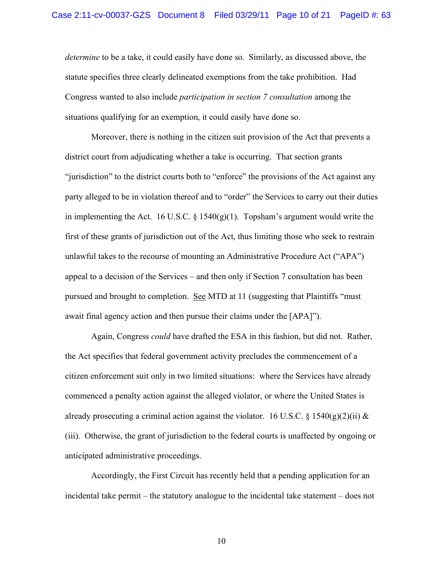*determine* to be a take, it could easily have done so. Similarly, as discussed above, the statute specifies three clearly delineated exemptions from the take prohibition. Had Congress wanted to also include *participation in section 7 consultation* among the situations qualifying for an exemption, it could easily have done so.

Moreover, there is nothing in the citizen suit provision of the Act that prevents a district court from adjudicating whether a take is occurring. That section grants "jurisdiction" to the district courts both to "enforce" the provisions of the Act against any party alleged to be in violation thereof and to "order" the Services to carry out their duties in implementing the Act. 16 U.S.C.  $\S$  1540(g)(1). Topsham's argument would write the first of these grants of jurisdiction out of the Act, thus limiting those who seek to restrain unlawful takes to the recourse of mounting an Administrative Procedure Act ("APA") appeal to a decision of the Services – and then only if Section 7 consultation has been pursued and brought to completion. See MTD at 11 (suggesting that Plaintiffs "must" await final agency action and then pursue their claims under the [APA]").

Again, Congress *could* have drafted the ESA in this fashion, but did not. Rather, the Act specifies that federal government activity precludes the commencement of a citizen enforcement suit only in two limited situations: where the Services have already commenced a penalty action against the alleged violator, or where the United States is already prosecuting a criminal action against the violator. 16 U.S.C. § 1540(g)(2)(ii) & (iii). Otherwise, the grant of jurisdiction to the federal courts is unaffected by ongoing or anticipated administrative proceedings.

Accordingly, the First Circuit has recently held that a pending application for an incidental take permit – the statutory analogue to the incidental take statement – does not

10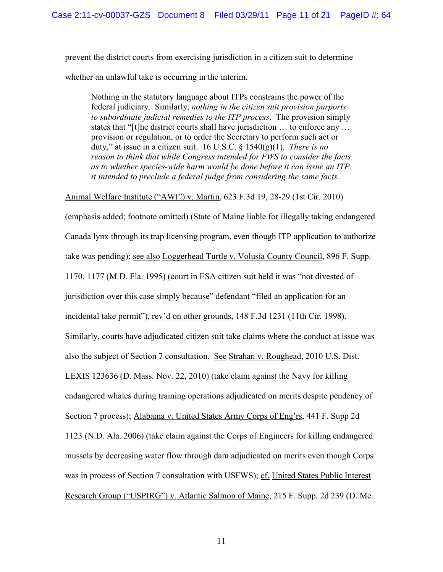prevent the district courts from exercising jurisdiction in a citizen suit to determine whether an unlawful take is occurring in the interim.

Nothing in the statutory language about ITPs constrains the power of the federal judiciary. Similarly, *nothing in the citizen suit provision purports to subordinate judicial remedies to the ITP process*. The provision simply states that "[t]he district courts shall have jurisdiction … to enforce any … provision or regulation, or to order the Secretary to perform such act or duty," at issue in a citizen suit. 16 U.S.C. § 1540(g)(1). *There is no reason to think that while Congress intended for FWS to consider the facts as to whether species-wide harm would be done before it can issue an ITP, it intended to preclude a federal judge from considering the same facts*.

Animal Welfare Institute ("AWI") v. Martin, 623 F.3d 19, 28-29 (1st Cir. 2010)

(emphasis added; footnote omitted) (State of Maine liable for illegally taking endangered Canada lynx through its trap licensing program, even though ITP application to authorize take was pending); see also Loggerhead Turtle v. Volusia County Council, 896 F. Supp. 1170, 1177 (M.D. Fla. 1995) (court in ESA citizen suit held it was "not divested of jurisdiction over this case simply because" defendant "filed an application for an incidental take permit"), rev'd on other grounds, 148 F.3d 1231 (11th Cir. 1998). Similarly, courts have adjudicated citizen suit take claims where the conduct at issue was also the subject of Section 7 consultation. See Strahan v. Roughead, 2010 U.S. Dist. LEXIS 123636 (D. Mass. Nov. 22, 2010) (take claim against the Navy for killing endangered whales during training operations adjudicated on merits despite pendency of Section 7 process); Alabama v. United States Army Corps of Eng'rs, 441 F. Supp 2d 1123 (N.D. Ala. 2006) (take claim against the Corps of Engineers for killing endangered mussels by decreasing water flow through dam adjudicated on merits even though Corps was in process of Section 7 consultation with USFWS); cf. United States Public Interest Research Group ("USPIRG") v. Atlantic Salmon of Maine, 215 F. Supp. 2d 239 (D. Me.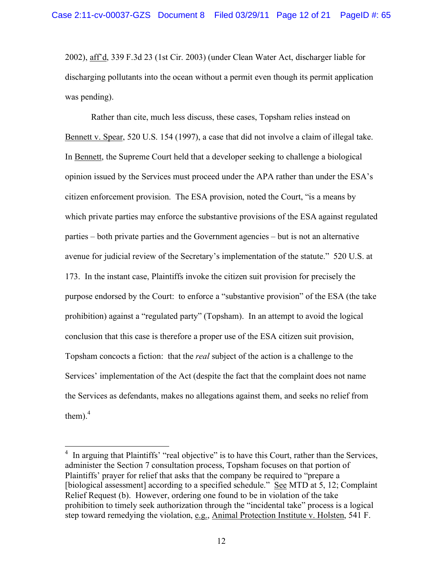2002), aff'd, 339 F.3d 23 (1st Cir. 2003) (under Clean Water Act, discharger liable for discharging pollutants into the ocean without a permit even though its permit application was pending).

Rather than cite, much less discuss, these cases, Topsham relies instead on Bennett v. Spear, 520 U.S. 154 (1997), a case that did not involve a claim of illegal take. In Bennett, the Supreme Court held that a developer seeking to challenge a biological opinion issued by the Services must proceed under the APA rather than under the ESA's citizen enforcement provision. The ESA provision, noted the Court, "is a means by which private parties may enforce the substantive provisions of the ESA against regulated parties – both private parties and the Government agencies – but is not an alternative avenue for judicial review of the Secretary's implementation of the statute." 520 U.S. at 173. In the instant case, Plaintiffs invoke the citizen suit provision for precisely the purpose endorsed by the Court: to enforce a "substantive provision" of the ESA (the take prohibition) against a "regulated party" (Topsham). In an attempt to avoid the logical conclusion that this case is therefore a proper use of the ESA citizen suit provision, Topsham concocts a fiction: that the *real* subject of the action is a challenge to the Services' implementation of the Act (despite the fact that the complaint does not name the Services as defendants, makes no allegations against them, and seeks no relief from them). $<sup>4</sup>$ </sup>

<sup>&</sup>lt;sup>4</sup> In arguing that Plaintiffs' "real objective" is to have this Court, rather than the Services, administer the Section 7 consultation process, Topsham focuses on that portion of Plaintiffs' prayer for relief that asks that the company be required to "prepare a [biological assessment] according to a specified schedule." See MTD at 5, 12; Complaint Relief Request (b). However, ordering one found to be in violation of the take prohibition to timely seek authorization through the "incidental take" process is a logical step toward remedying the violation, e.g., Animal Protection Institute v. Holsten, 541 F.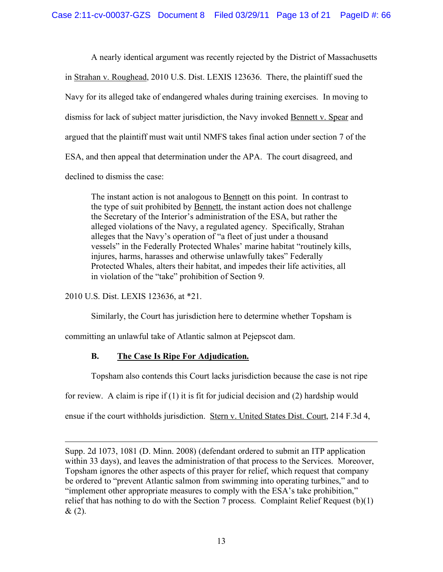A nearly identical argument was recently rejected by the District of Massachusetts in Strahan v. Roughead, 2010 U.S. Dist. LEXIS 123636. There, the plaintiff sued the Navy for its alleged take of endangered whales during training exercises. In moving to dismiss for lack of subject matter jurisdiction, the Navy invoked Bennett v. Spear and argued that the plaintiff must wait until NMFS takes final action under section 7 of the ESA, and then appeal that determination under the APA. The court disagreed, and declined to dismiss the case:

The instant action is not analogous to **Bennett** on this point. In contrast to the type of suit prohibited by Bennett, the instant action does not challenge the Secretary of the Interior's administration of the ESA, but rather the alleged violations of the Navy, a regulated agency. Specifically, Strahan alleges that the Navy's operation of "a fleet of just under a thousand vessels" in the Federally Protected Whales' marine habitat "routinely kills, injures, harms, harasses and otherwise unlawfully takes" Federally Protected Whales, alters their habitat, and impedes their life activities, all in violation of the "take" prohibition of Section 9.

2010 U.S. Dist. LEXIS 123636, at \*21.

 $\overline{a}$ 

Similarly, the Court has jurisdiction here to determine whether Topsham is

committing an unlawful take of Atlantic salmon at Pejepscot dam.

# **B. The Case Is Ripe For Adjudication.**

Topsham also contends this Court lacks jurisdiction because the case is not ripe

for review. A claim is ripe if  $(1)$  it is fit for judicial decision and  $(2)$  hardship would

ensue if the court withholds jurisdiction. Stern v. United States Dist. Court, 214 F.3d 4,

Supp. 2d 1073, 1081 (D. Minn. 2008) (defendant ordered to submit an ITP application within 33 days), and leaves the administration of that process to the Services. Moreover, Topsham ignores the other aspects of this prayer for relief, which request that company be ordered to "prevent Atlantic salmon from swimming into operating turbines," and to "implement other appropriate measures to comply with the ESA's take prohibition," relief that has nothing to do with the Section 7 process. Complaint Relief Request (b)(1)  $& (2).$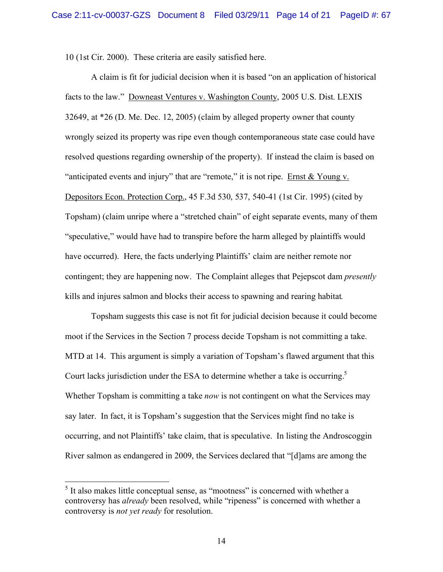10 (1st Cir. 2000). These criteria are easily satisfied here.

A claim is fit for judicial decision when it is based "on an application of historical facts to the law." Downeast Ventures v. Washington County, 2005 U.S. Dist. LEXIS 32649, at \*26 (D. Me. Dec. 12, 2005) (claim by alleged property owner that county wrongly seized its property was ripe even though contemporaneous state case could have resolved questions regarding ownership of the property). If instead the claim is based on "anticipated events and injury" that are "remote," it is not ripe. Ernst & Young v. Depositors Econ. Protection Corp., 45 F.3d 530, 537, 540-41 (1st Cir. 1995) (cited by Topsham) (claim unripe where a "stretched chain" of eight separate events, many of them "speculative," would have had to transpire before the harm alleged by plaintiffs would have occurred). Here, the facts underlying Plaintiffs' claim are neither remote nor contingent; they are happening now. The Complaint alleges that Pejepscot dam *presently*  kills and injures salmon and blocks their access to spawning and rearing habitat*.*

Topsham suggests this case is not fit for judicial decision because it could become moot if the Services in the Section 7 process decide Topsham is not committing a take. MTD at 14. This argument is simply a variation of Topsham's flawed argument that this Court lacks jurisdiction under the ESA to determine whether a take is occurring.<sup>5</sup> Whether Topsham is committing a take *now* is not contingent on what the Services may say later. In fact, it is Topsham's suggestion that the Services might find no take is occurring, and not Plaintiffs' take claim, that is speculative. In listing the Androscoggin River salmon as endangered in 2009, the Services declared that "[d]ams are among the

<sup>&</sup>lt;sup>5</sup> It also makes little conceptual sense, as "mootness" is concerned with whether a controversy has *already* been resolved, while "ripeness" is concerned with whether a controversy is *not yet ready* for resolution.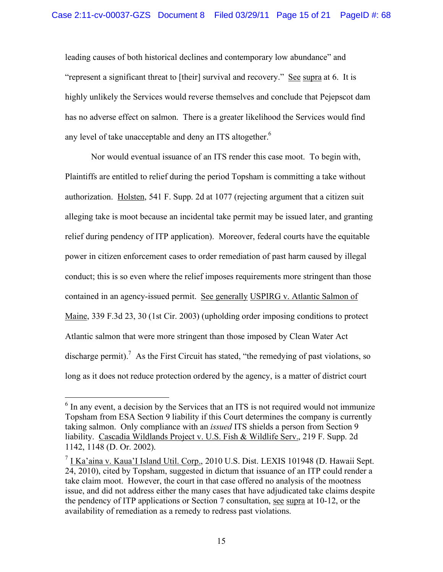leading causes of both historical declines and contemporary low abundance" and "represent a significant threat to [their] survival and recovery." See supra at 6. It is highly unlikely the Services would reverse themselves and conclude that Pejepscot dam has no adverse effect on salmon. There is a greater likelihood the Services would find any level of take unacceptable and deny an ITS altogether.<sup>6</sup>

Nor would eventual issuance of an ITS render this case moot. To begin with, Plaintiffs are entitled to relief during the period Topsham is committing a take without authorization. Holsten, 541 F. Supp. 2d at 1077 (rejecting argument that a citizen suit alleging take is moot because an incidental take permit may be issued later, and granting relief during pendency of ITP application). Moreover, federal courts have the equitable power in citizen enforcement cases to order remediation of past harm caused by illegal conduct; this is so even where the relief imposes requirements more stringent than those contained in an agency-issued permit. See generally USPIRG v. Atlantic Salmon of Maine, 339 F.3d 23, 30 (1st Cir. 2003) (upholding order imposing conditions to protect Atlantic salmon that were more stringent than those imposed by Clean Water Act discharge permit).<sup>7</sup> As the First Circuit has stated, "the remedying of past violations, so long as it does not reduce protection ordered by the agency, is a matter of district court

<sup>&</sup>lt;sup>6</sup> In any event, a decision by the Services that an ITS is not required would not immunize Topsham from ESA Section 9 liability if this Court determines the company is currently taking salmon. Only compliance with an *issued* ITS shields a person from Section 9 liability. Cascadia Wildlands Project v. U.S. Fish & Wildlife Serv., 219 F. Supp. 2d 1142, 1148 (D. Or. 2002).

 $<sup>7</sup>$  I Ka'aina v. Kaua'I Island Util. Corp., 2010 U.S. Dist. LEXIS 101948 (D. Hawaii Sept.</sup> 24, 2010), cited by Topsham, suggested in dictum that issuance of an ITP could render a take claim moot. However, the court in that case offered no analysis of the mootness issue, and did not address either the many cases that have adjudicated take claims despite the pendency of ITP applications or Section 7 consultation, see supra at 10-12, or the availability of remediation as a remedy to redress past violations.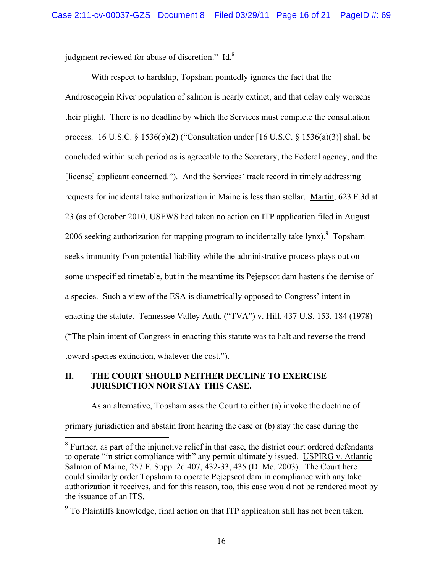judgment reviewed for abuse of discretion." Id.<sup>8</sup>

With respect to hardship, Topsham pointedly ignores the fact that the Androscoggin River population of salmon is nearly extinct, and that delay only worsens their plight. There is no deadline by which the Services must complete the consultation process. 16 U.S.C. § 1536(b)(2) ("Consultation under [16 U.S.C. § 1536(a)(3)] shall be concluded within such period as is agreeable to the Secretary, the Federal agency, and the [license] applicant concerned."). And the Services' track record in timely addressing requests for incidental take authorization in Maine is less than stellar. Martin, 623 F.3d at 23 (as of October 2010, USFWS had taken no action on ITP application filed in August 2006 seeking authorization for trapping program to incidentally take lynx).<sup>9</sup> Topsham seeks immunity from potential liability while the administrative process plays out on some unspecified timetable, but in the meantime its Pejepscot dam hastens the demise of a species. Such a view of the ESA is diametrically opposed to Congress' intent in enacting the statute. Tennessee Valley Auth. ("TVA") v. Hill, 437 U.S. 153, 184 (1978) ("The plain intent of Congress in enacting this statute was to halt and reverse the trend toward species extinction, whatever the cost.").

### **II. THE COURT SHOULD NEITHER DECLINE TO EXERCISE JURISDICTION NOR STAY THIS CASE.**

As an alternative, Topsham asks the Court to either (a) invoke the doctrine of primary jurisdiction and abstain from hearing the case or (b) stay the case during the

 $8$  Further, as part of the injunctive relief in that case, the district court ordered defendants to operate "in strict compliance with" any permit ultimately issued. USPIRG v. Atlantic Salmon of Maine, 257 F. Supp. 2d 407, 432-33, 435 (D. Me. 2003). The Court here could similarly order Topsham to operate Pejepscot dam in compliance with any take authorization it receives, and for this reason, too, this case would not be rendered moot by the issuance of an ITS.

 $9^9$  To Plaintiffs knowledge, final action on that ITP application still has not been taken.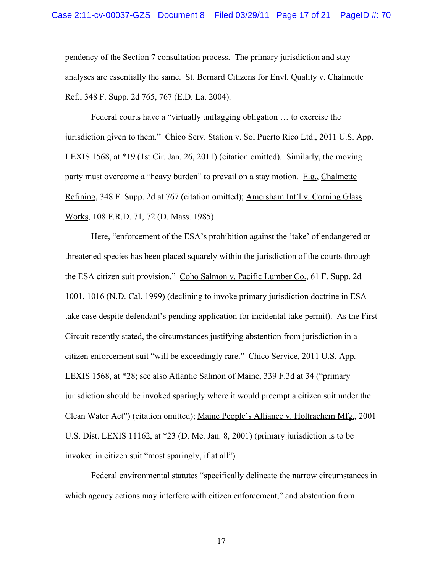pendency of the Section 7 consultation process. The primary jurisdiction and stay analyses are essentially the same. St. Bernard Citizens for Envl. Quality v. Chalmette Ref., 348 F. Supp. 2d 765, 767 (E.D. La. 2004).

Federal courts have a "virtually unflagging obligation … to exercise the jurisdiction given to them." Chico Serv. Station v. Sol Puerto Rico Ltd., 2011 U.S. App. LEXIS 1568, at \*19 (1st Cir. Jan. 26, 2011) (citation omitted). Similarly, the moving party must overcome a "heavy burden" to prevail on a stay motion. E.g., Chalmette Refining, 348 F. Supp. 2d at 767 (citation omitted); Amersham Int'l v. Corning Glass Works, 108 F.R.D. 71, 72 (D. Mass. 1985).

Here, "enforcement of the ESA's prohibition against the 'take' of endangered or threatened species has been placed squarely within the jurisdiction of the courts through the ESA citizen suit provision." Coho Salmon v. Pacific Lumber Co., 61 F. Supp. 2d 1001, 1016 (N.D. Cal. 1999) (declining to invoke primary jurisdiction doctrine in ESA take case despite defendant's pending application for incidental take permit). As the First Circuit recently stated, the circumstances justifying abstention from jurisdiction in a citizen enforcement suit "will be exceedingly rare." Chico Service, 2011 U.S. App. LEXIS 1568, at \*28; see also Atlantic Salmon of Maine, 339 F.3d at 34 ("primary jurisdiction should be invoked sparingly where it would preempt a citizen suit under the Clean Water Act") (citation omitted); Maine People's Alliance v. Holtrachem Mfg., 2001 U.S. Dist. LEXIS 11162, at \*23 (D. Me. Jan. 8, 2001) (primary jurisdiction is to be invoked in citizen suit "most sparingly, if at all").

Federal environmental statutes "specifically delineate the narrow circumstances in which agency actions may interfere with citizen enforcement," and abstention from

17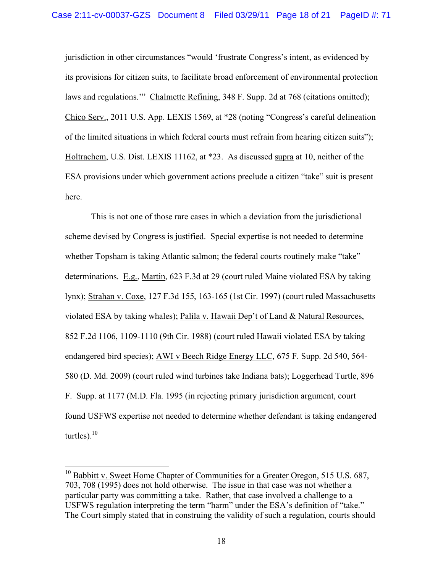jurisdiction in other circumstances "would 'frustrate Congress's intent, as evidenced by its provisions for citizen suits, to facilitate broad enforcement of environmental protection laws and regulations.'" Chalmette Refining, 348 F. Supp. 2d at 768 (citations omitted); Chico Serv., 2011 U.S. App. LEXIS 1569, at \*28 (noting "Congress's careful delineation of the limited situations in which federal courts must refrain from hearing citizen suits"); Holtrachem, U.S. Dist. LEXIS 11162, at \*23. As discussed supra at 10, neither of the ESA provisions under which government actions preclude a citizen "take" suit is present here.

This is not one of those rare cases in which a deviation from the jurisdictional scheme devised by Congress is justified. Special expertise is not needed to determine whether Topsham is taking Atlantic salmon; the federal courts routinely make "take" determinations. E.g., Martin, 623 F.3d at 29 (court ruled Maine violated ESA by taking lynx); Strahan v. Coxe, 127 F.3d 155, 163-165 (1st Cir. 1997) (court ruled Massachusetts violated ESA by taking whales); Palila v. Hawaii Dep't of Land & Natural Resources, 852 F.2d 1106, 1109-1110 (9th Cir. 1988) (court ruled Hawaii violated ESA by taking endangered bird species); AWI v Beech Ridge Energy LLC, 675 F. Supp. 2d 540, 564- 580 (D. Md. 2009) (court ruled wind turbines take Indiana bats); Loggerhead Turtle, 896 F. Supp. at 1177 (M.D. Fla. 1995 (in rejecting primary jurisdiction argument, court found USFWS expertise not needed to determine whether defendant is taking endangered turtles). $10$ 

 $10$  Babbitt v. Sweet Home Chapter of Communities for a Greater Oregon, 515 U.S. 687, 703, 708 (1995) does not hold otherwise. The issue in that case was not whether a particular party was committing a take. Rather, that case involved a challenge to a USFWS regulation interpreting the term "harm" under the ESA's definition of "take." The Court simply stated that in construing the validity of such a regulation, courts should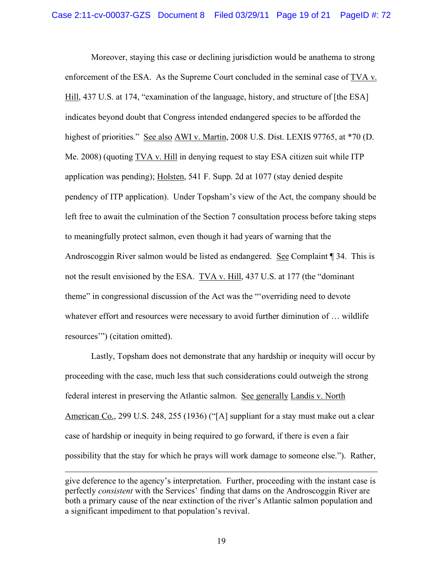Moreover, staying this case or declining jurisdiction would be anathema to strong enforcement of the ESA. As the Supreme Court concluded in the seminal case of TVA v. Hill, 437 U.S. at 174, "examination of the language, history, and structure of [the ESA] indicates beyond doubt that Congress intended endangered species to be afforded the highest of priorities." See also AWI v. Martin, 2008 U.S. Dist. LEXIS 97765, at \*70 (D. Me. 2008) (quoting TVA v. Hill in denying request to stay ESA citizen suit while ITP application was pending); Holsten, 541 F. Supp. 2d at 1077 (stay denied despite pendency of ITP application). Under Topsham's view of the Act, the company should be left free to await the culmination of the Section 7 consultation process before taking steps to meaningfully protect salmon, even though it had years of warning that the Androscoggin River salmon would be listed as endangered. See Complaint ¶ 34. This is not the result envisioned by the ESA. TVA v. Hill, 437 U.S. at 177 (the "dominant theme" in congressional discussion of the Act was the "'overriding need to devote whatever effort and resources were necessary to avoid further diminution of ... wildlife resources'") (citation omitted).

Lastly, Topsham does not demonstrate that any hardship or inequity will occur by proceeding with the case, much less that such considerations could outweigh the strong federal interest in preserving the Atlantic salmon. See generally Landis v. North American Co., 299 U.S. 248, 255 (1936) ("[A] suppliant for a stay must make out a clear case of hardship or inequity in being required to go forward, if there is even a fair possibility that the stay for which he prays will work damage to someone else."). Rather,

 $\overline{a}$ 

give deference to the agency's interpretation. Further, proceeding with the instant case is perfectly *consistent* with the Services' finding that dams on the Androscoggin River are both a primary cause of the near extinction of the river's Atlantic salmon population and a significant impediment to that population's revival.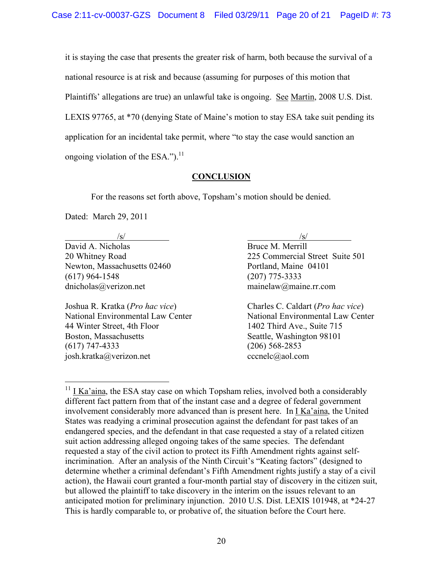it is staying the case that presents the greater risk of harm, both because the survival of a national resource is at risk and because (assuming for purposes of this motion that Plaintiffs' allegations are true) an unlawful take is ongoing. See Martin, 2008 U.S. Dist. LEXIS 97765, at \*70 (denying State of Maine's motion to stay ESA take suit pending its application for an incidental take permit, where "to stay the case would sanction an ongoing violation of the ESA."). $^{11}$ 

# **CONCLUSION**

For the reasons set forth above, Topsham's motion should be denied.

Dated: March 29, 2011

David A. Nicholas Bruce M. Merrill Newton, Massachusetts 02460 Portland, Maine 04101 (617) 964-1548 (207) 775-3333 dnicholas@verizon.net mainelaw@maine.rr.com

44 Winter Street, 4th Floor 1402 Third Ave., Suite 715 Boston, Massachusetts Seattle, Washington 98101 (617) 747-4333 (206) 568-2853 josh.kratka@verizon.net cccnelc@aol.com

 $\sqrt{s}$ /s/ 20 Whitney Road 225 Commercial Street Suite 501

Joshua R. Kratka (*Pro hac vice*) Charles C. Caldart (*Pro hac vice*) National Environmental Law Center National Environmental Law Center

 $11$  I Ka'aina, the ESA stay case on which Topsham relies, involved both a considerably different fact pattern from that of the instant case and a degree of federal government involvement considerably more advanced than is present here. In I Ka'aina, the United States was readying a criminal prosecution against the defendant for past takes of an endangered species, and the defendant in that case requested a stay of a related citizen suit action addressing alleged ongoing takes of the same species. The defendant requested a stay of the civil action to protect its Fifth Amendment rights against selfincrimination. After an analysis of the Ninth Circuit's "Keating factors" (designed to determine whether a criminal defendant's Fifth Amendment rights justify a stay of a civil action), the Hawaii court granted a four-month partial stay of discovery in the citizen suit, but allowed the plaintiff to take discovery in the interim on the issues relevant to an anticipated motion for preliminary injunction. 2010 U.S. Dist. LEXIS 101948, at \*24-27 This is hardly comparable to, or probative of, the situation before the Court here.